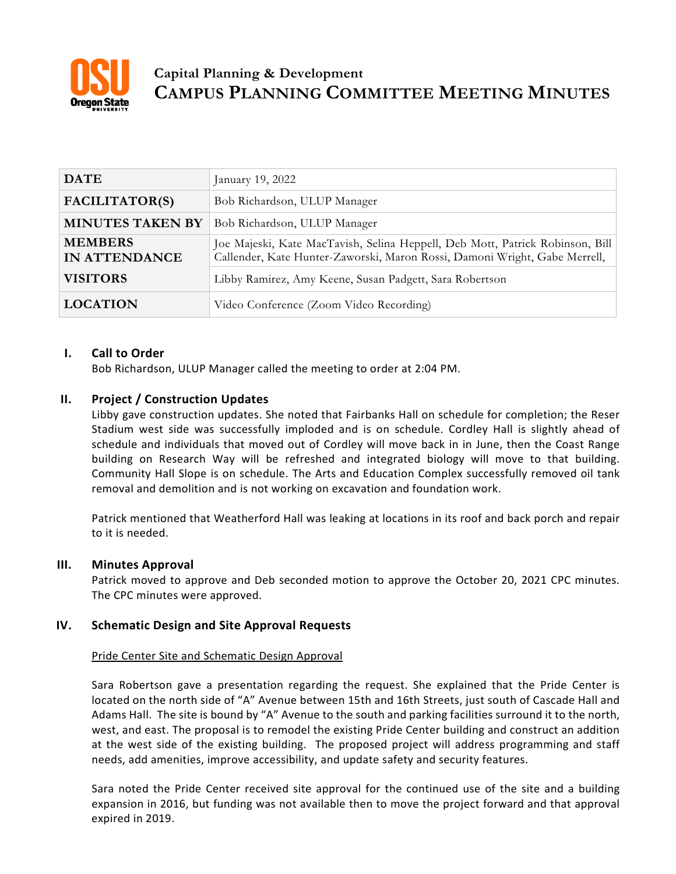

# **Capital Planning & Development CAMPUS PLANNING COMMITTEE MEETING MINUTES**

| <b>DATE</b>                            | January 19, 2022                                                                                                                                            |
|----------------------------------------|-------------------------------------------------------------------------------------------------------------------------------------------------------------|
| FACILITATOR(S)                         | Bob Richardson, ULUP Manager                                                                                                                                |
| <b>MINUTES TAKEN BY</b>                | Bob Richardson, ULUP Manager                                                                                                                                |
| <b>MEMBERS</b><br><b>IN ATTENDANCE</b> | Joe Majeski, Kate MacTavish, Selina Heppell, Deb Mott, Patrick Robinson, Bill<br>Callender, Kate Hunter-Zaworski, Maron Rossi, Damoni Wright, Gabe Merrell, |
| <b>VISITORS</b>                        | Libby Ramirez, Amy Keene, Susan Padgett, Sara Robertson                                                                                                     |
| <b>LOCATION</b>                        | Video Conference (Zoom Video Recording)                                                                                                                     |

## **I. Call to Order**

Bob Richardson, ULUP Manager called the meeting to order at 2:04 PM.

## **II. Project / Construction Updates**

Libby gave construction updates. She noted that Fairbanks Hall on schedule for completion; the Reser Stadium west side was successfully imploded and is on schedule. Cordley Hall is slightly ahead of schedule and individuals that moved out of Cordley will move back in in June, then the Coast Range building on Research Way will be refreshed and integrated biology will move to that building. Community Hall Slope is on schedule. The Arts and Education Complex successfully removed oil tank removal and demolition and is not working on excavation and foundation work.

Patrick mentioned that Weatherford Hall was leaking at locations in its roof and back porch and repair to it is needed.

## **III. Minutes Approval**

Patrick moved to approve and Deb seconded motion to approve the October 20, 2021 CPC minutes. The CPC minutes were approved.

## **IV. Schematic Design and Site Approval Requests**

### Pride Center Site and Schematic Design Approval

Sara Robertson gave a presentation regarding the request. She explained that the Pride Center is located on the north side of "A" Avenue between 15th and 16th Streets, just south of Cascade Hall and Adams Hall. The site is bound by "A" Avenue to the south and parking facilities surround it to the north, west, and east. The proposal is to remodel the existing Pride Center building and construct an addition at the west side of the existing building. The proposed project will address programming and staff needs, add amenities, improve accessibility, and update safety and security features.

Sara noted the Pride Center received site approval for the continued use of the site and a building expansion in 2016, but funding was not available then to move the project forward and that approval expired in 2019.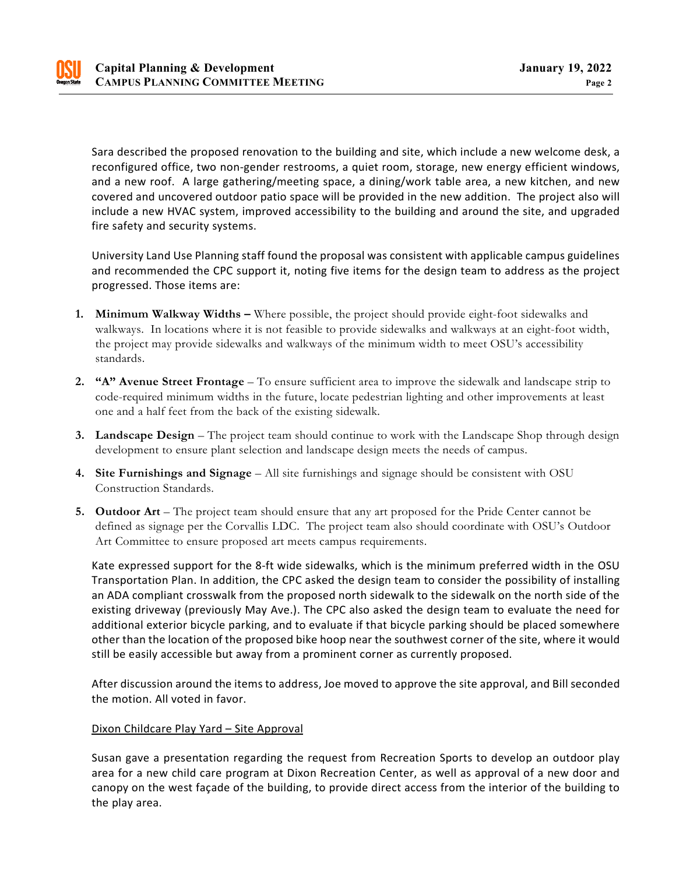

Sara described the proposed renovation to the building and site, which include a new welcome desk, a reconfigured office, two non-gender restrooms, a quiet room, storage, new energy efficient windows, and a new roof. A large gathering/meeting space, a dining/work table area, a new kitchen, and new covered and uncovered outdoor patio space will be provided in the new addition. The project also will include a new HVAC system, improved accessibility to the building and around the site, and upgraded fire safety and security systems.

University Land Use Planning staff found the proposal was consistent with applicable campus guidelines and recommended the CPC support it, noting five items for the design team to address as the project progressed. Those items are:

- **1. Minimum Walkway Widths –** Where possible, the project should provide eight-foot sidewalks and walkways. In locations where it is not feasible to provide sidewalks and walkways at an eight-foot width, the project may provide sidewalks and walkways of the minimum width to meet OSU's accessibility standards.
- **2. "A" Avenue Street Frontage** To ensure sufficient area to improve the sidewalk and landscape strip to code-required minimum widths in the future, locate pedestrian lighting and other improvements at least one and a half feet from the back of the existing sidewalk.
- **3. Landscape Design** The project team should continue to work with the Landscape Shop through design development to ensure plant selection and landscape design meets the needs of campus.
- **4. Site Furnishings and Signage** All site furnishings and signage should be consistent with OSU Construction Standards.
- **5. Outdoor Art** The project team should ensure that any art proposed for the Pride Center cannot be defined as signage per the Corvallis LDC. The project team also should coordinate with OSU's Outdoor Art Committee to ensure proposed art meets campus requirements.

Kate expressed support for the 8-ft wide sidewalks, which is the minimum preferred width in the OSU Transportation Plan. In addition, the CPC asked the design team to consider the possibility of installing an ADA compliant crosswalk from the proposed north sidewalk to the sidewalk on the north side of the existing driveway (previously May Ave.). The CPC also asked the design team to evaluate the need for additional exterior bicycle parking, and to evaluate if that bicycle parking should be placed somewhere other than the location of the proposed bike hoop near the southwest corner of the site, where it would still be easily accessible but away from a prominent corner as currently proposed.

After discussion around the items to address, Joe moved to approve the site approval, and Bill seconded the motion. All voted in favor.

### Dixon Childcare Play Yard – Site Approval

Susan gave a presentation regarding the request from Recreation Sports to develop an outdoor play area for a new child care program at Dixon Recreation Center, as well as approval of a new door and canopy on the west façade of the building, to provide direct access from the interior of the building to the play area.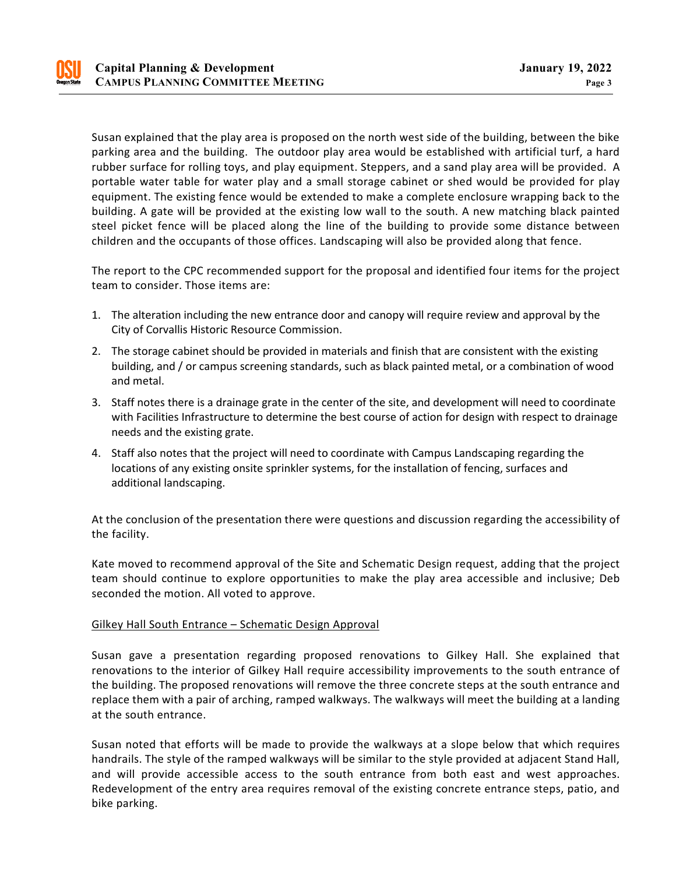

Susan explained that the play area is proposed on the north west side of the building, between the bike parking area and the building. The outdoor play area would be established with artificial turf, a hard rubber surface for rolling toys, and play equipment. Steppers, and a sand play area will be provided. A portable water table for water play and a small storage cabinet or shed would be provided for play equipment. The existing fence would be extended to make a complete enclosure wrapping back to the building. A gate will be provided at the existing low wall to the south. A new matching black painted steel picket fence will be placed along the line of the building to provide some distance between children and the occupants of those offices. Landscaping will also be provided along that fence.

The report to the CPC recommended support for the proposal and identified four items for the project team to consider. Those items are:

- 1. The alteration including the new entrance door and canopy will require review and approval by the City of Corvallis Historic Resource Commission.
- 2. The storage cabinet should be provided in materials and finish that are consistent with the existing building, and / or campus screening standards, such as black painted metal, or a combination of wood and metal.
- 3. Staff notes there is a drainage grate in the center of the site, and development will need to coordinate with Facilities Infrastructure to determine the best course of action for design with respect to drainage needs and the existing grate.
- 4. Staff also notes that the project will need to coordinate with Campus Landscaping regarding the locations of any existing onsite sprinkler systems, for the installation of fencing, surfaces and additional landscaping.

At the conclusion of the presentation there were questions and discussion regarding the accessibility of the facility.

Kate moved to recommend approval of the Site and Schematic Design request, adding that the project team should continue to explore opportunities to make the play area accessible and inclusive; Deb seconded the motion. All voted to approve.

### Gilkey Hall South Entrance – Schematic Design Approval

Susan gave a presentation regarding proposed renovations to Gilkey Hall. She explained that renovations to the interior of Gilkey Hall require accessibility improvements to the south entrance of the building. The proposed renovations will remove the three concrete steps at the south entrance and replace them with a pair of arching, ramped walkways. The walkways will meet the building at a landing at the south entrance.

Susan noted that efforts will be made to provide the walkways at a slope below that which requires handrails. The style of the ramped walkways will be similar to the style provided at adjacent Stand Hall, and will provide accessible access to the south entrance from both east and west approaches. Redevelopment of the entry area requires removal of the existing concrete entrance steps, patio, and bike parking.